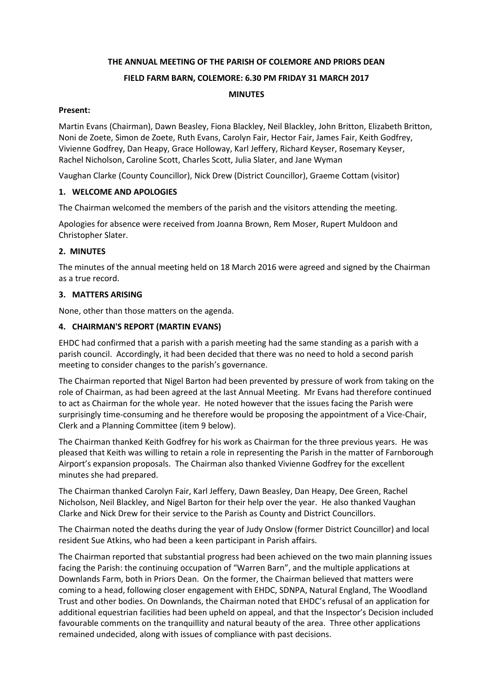# **THE ANNUAL MEETING OF THE PARISH OF COLEMORE AND PRIORS DEAN**

## **FIELD FARM BARN, COLEMORE: 6.30 PM FRIDAY 31 MARCH 2017**

### **MINUTES**

## **Present:**

Martin Evans (Chairman), Dawn Beasley, Fiona Blackley, Neil Blackley, John Britton, Elizabeth Britton, Noni de Zoete, Simon de Zoete, Ruth Evans, Carolyn Fair, Hector Fair, James Fair, Keith Godfrey, Vivienne Godfrey, Dan Heapy, Grace Holloway, Karl Jeffery, Richard Keyser, Rosemary Keyser, Rachel Nicholson, Caroline Scott, Charles Scott, Julia Slater, and Jane Wyman

Vaughan Clarke (County Councillor), Nick Drew (District Councillor), Graeme Cottam (visitor)

## **1. WELCOME AND APOLOGIES**

The Chairman welcomed the members of the parish and the visitors attending the meeting.

Apologies for absence were received from Joanna Brown, Rem Moser, Rupert Muldoon and Christopher Slater.

## **2. MINUTES**

The minutes of the annual meeting held on 18 March 2016 were agreed and signed by the Chairman as a true record.

## **3. MATTERS ARISING**

None, other than those matters on the agenda.

## **4. CHAIRMAN'S REPORT (MARTIN EVANS)**

EHDC had confirmed that a parish with a parish meeting had the same standing as a parish with a parish council. Accordingly, it had been decided that there was no need to hold a second parish meeting to consider changes to the parish's governance.

The Chairman reported that Nigel Barton had been prevented by pressure of work from taking on the role of Chairman, as had been agreed at the last Annual Meeting. Mr Evans had therefore continued to act as Chairman for the whole year. He noted however that the issues facing the Parish were surprisingly time-consuming and he therefore would be proposing the appointment of a Vice-Chair, Clerk and a Planning Committee (item 9 below).

The Chairman thanked Keith Godfrey for his work as Chairman for the three previous years. He was pleased that Keith was willing to retain a role in representing the Parish in the matter of Farnborough Airport's expansion proposals. The Chairman also thanked Vivienne Godfrey for the excellent minutes she had prepared.

The Chairman thanked Carolyn Fair, Karl Jeffery, Dawn Beasley, Dan Heapy, Dee Green, Rachel Nicholson, Neil Blackley, and Nigel Barton for their help over the year. He also thanked Vaughan Clarke and Nick Drew for their service to the Parish as County and District Councillors.

The Chairman noted the deaths during the year of Judy Onslow (former District Councillor) and local resident Sue Atkins, who had been a keen participant in Parish affairs.

The Chairman reported that substantial progress had been achieved on the two main planning issues facing the Parish: the continuing occupation of "Warren Barn", and the multiple applications at Downlands Farm, both in Priors Dean. On the former, the Chairman believed that matters were coming to a head, following closer engagement with EHDC, SDNPA, Natural England, The Woodland Trust and other bodies. On Downlands, the Chairman noted that EHDC's refusal of an application for additional equestrian facilities had been upheld on appeal, and that the Inspector's Decision included favourable comments on the tranquillity and natural beauty of the area. Three other applications remained undecided, along with issues of compliance with past decisions.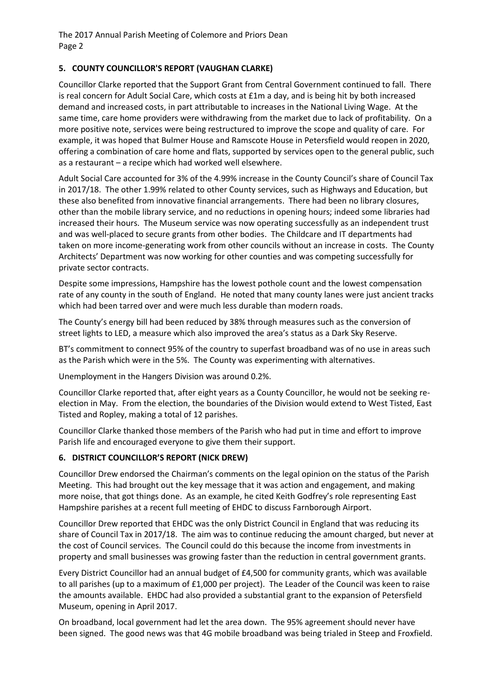# **5. COUNTY COUNCILLOR'S REPORT (VAUGHAN CLARKE)**

Councillor Clarke reported that the Support Grant from Central Government continued to fall. There is real concern for Adult Social Care, which costs at £1m a day, and is being hit by both increased demand and increased costs, in part attributable to increases in the National Living Wage. At the same time, care home providers were withdrawing from the market due to lack of profitability. On a more positive note, services were being restructured to improve the scope and quality of care. For example, it was hoped that Bulmer House and Ramscote House in Petersfield would reopen in 2020, offering a combination of care home and flats, supported by services open to the general public, such as a restaurant – a recipe which had worked well elsewhere.

Adult Social Care accounted for 3% of the 4.99% increase in the County Council's share of Council Tax in 2017/18. The other 1.99% related to other County services, such as Highways and Education, but these also benefited from innovative financial arrangements. There had been no library closures, other than the mobile library service, and no reductions in opening hours; indeed some libraries had increased their hours. The Museum service was now operating successfully as an independent trust and was well-placed to secure grants from other bodies. The Childcare and IT departments had taken on more income-generating work from other councils without an increase in costs. The County Architects' Department was now working for other counties and was competing successfully for private sector contracts.

Despite some impressions, Hampshire has the lowest pothole count and the lowest compensation rate of any county in the south of England. He noted that many county lanes were just ancient tracks which had been tarred over and were much less durable than modern roads.

The County's energy bill had been reduced by 38% through measures such as the conversion of street lights to LED, a measure which also improved the area's status as a Dark Sky Reserve.

BT's commitment to connect 95% of the country to superfast broadband was of no use in areas such as the Parish which were in the 5%. The County was experimenting with alternatives.

Unemployment in the Hangers Division was around 0.2%.

Councillor Clarke reported that, after eight years as a County Councillor, he would not be seeking reelection in May. From the election, the boundaries of the Division would extend to West Tisted, East Tisted and Ropley, making a total of 12 parishes.

Councillor Clarke thanked those members of the Parish who had put in time and effort to improve Parish life and encouraged everyone to give them their support.

## **6. DISTRICT COUNCILLOR'S REPORT (NICK DREW)**

Councillor Drew endorsed the Chairman's comments on the legal opinion on the status of the Parish Meeting. This had brought out the key message that it was action and engagement, and making more noise, that got things done. As an example, he cited Keith Godfrey's role representing East Hampshire parishes at a recent full meeting of EHDC to discuss Farnborough Airport.

Councillor Drew reported that EHDC was the only District Council in England that was reducing its share of Council Tax in 2017/18. The aim was to continue reducing the amount charged, but never at the cost of Council services. The Council could do this because the income from investments in property and small businesses was growing faster than the reduction in central government grants.

Every District Councillor had an annual budget of £4,500 for community grants, which was available to all parishes (up to a maximum of £1,000 per project). The Leader of the Council was keen to raise the amounts available. EHDC had also provided a substantial grant to the expansion of Petersfield Museum, opening in April 2017.

On broadband, local government had let the area down. The 95% agreement should never have been signed. The good news was that 4G mobile broadband was being trialed in Steep and Froxfield.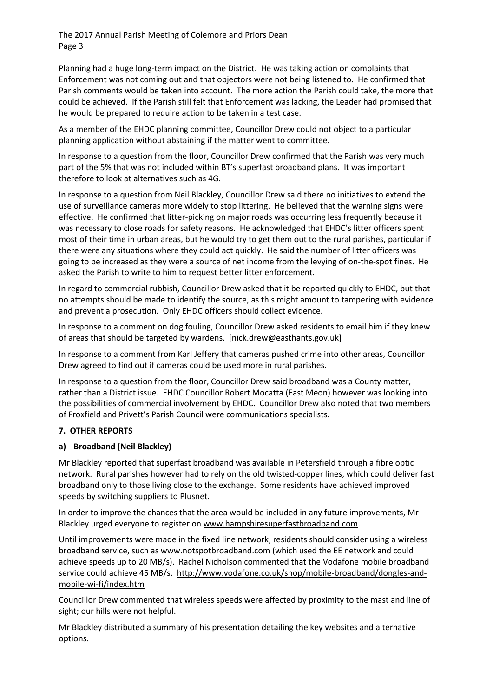Planning had a huge long-term impact on the District. He was taking action on complaints that Enforcement was not coming out and that objectors were not being listened to. He confirmed that Parish comments would be taken into account. The more action the Parish could take, the more that could be achieved. If the Parish still felt that Enforcement was lacking, the Leader had promised that he would be prepared to require action to be taken in a test case.

As a member of the EHDC planning committee, Councillor Drew could not object to a particular planning application without abstaining if the matter went to committee.

In response to a question from the floor, Councillor Drew confirmed that the Parish was very much part of the 5% that was not included within BT's superfast broadband plans. It was important therefore to look at alternatives such as 4G.

In response to a question from Neil Blackley, Councillor Drew said there no initiatives to extend the use of surveillance cameras more widely to stop littering. He believed that the warning signs were effective. He confirmed that litter-picking on major roads was occurring less frequently because it was necessary to close roads for safety reasons. He acknowledged that EHDC's litter officers spent most of their time in urban areas, but he would try to get them out to the rural parishes, particular if there were any situations where they could act quickly. He said the number of litter officers was going to be increased as they were a source of net income from the levying of on-the-spot fines. He asked the Parish to write to him to request better litter enforcement.

In regard to commercial rubbish, Councillor Drew asked that it be reported quickly to EHDC, but that no attempts should be made to identify the source, as this might amount to tampering with evidence and prevent a prosecution. Only EHDC officers should collect evidence.

In response to a comment on dog fouling, Councillor Drew asked residents to email him if they knew of areas that should be targeted by wardens. [nick.drew@easthants.gov.uk]

In response to a comment from Karl Jeffery that cameras pushed crime into other areas, Councillor Drew agreed to find out if cameras could be used more in rural parishes.

In response to a question from the floor, Councillor Drew said broadband was a County matter, rather than a District issue. EHDC Councillor Robert Mocatta (East Meon) however was looking into the possibilities of commercial involvement by EHDC. Councillor Drew also noted that two members of Froxfield and Privett's Parish Council were communications specialists.

#### **7. OTHER REPORTS**

#### **a) Broadband (Neil Blackley)**

Mr Blackley reported that superfast broadband was available in Petersfield through a fibre optic network. Rural parishes however had to rely on the old twisted-copper lines, which could deliver fast broadband only to those living close to the exchange. Some residents have achieved improved speeds by switching suppliers to Plusnet.

In order to improve the chances that the area would be included in any future improvements, Mr Blackley urged everyone to register on [www.hampshiresuperfastbroadband.com.](http://www.hampshiresuperfastbroadband.com/)

Until improvements were made in the fixed line network, residents should consider using a wireless broadband service, such as [www.notspotbroadband.com](http://www.notspotbroadband.com/) (which used the EE network and could achieve speeds up to 20 MB/s). Rachel Nicholson commented that the Vodafone mobile broadband service could achieve 45 MB/s. [http://www.vodafone.co.uk/shop/mobile-broadband/dongles-and](http://www.vodafone.co.uk/shop/mobile-broadband/dongles-and-mobile-wi-fi/index.htm)[mobile-wi-fi/index.htm](http://www.vodafone.co.uk/shop/mobile-broadband/dongles-and-mobile-wi-fi/index.htm)

Councillor Drew commented that wireless speeds were affected by proximity to the mast and line of sight; our hills were not helpful.

Mr Blackley distributed a summary of his presentation detailing the key websites and alternative options.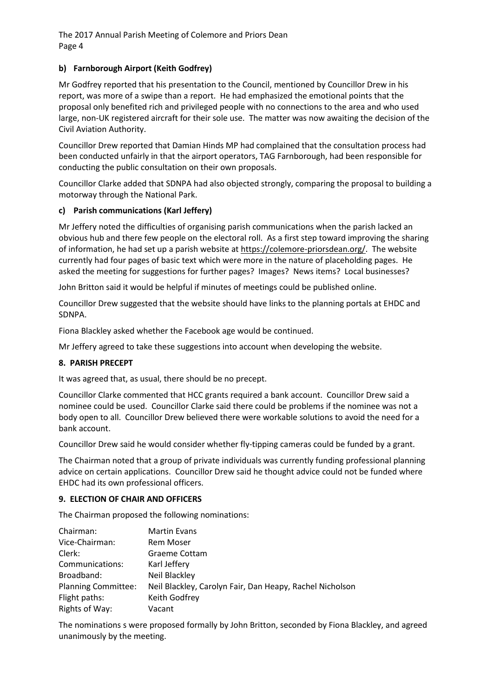## **b) Farnborough Airport (Keith Godfrey)**

Mr Godfrey reported that his presentation to the Council, mentioned by Councillor Drew in his report, was more of a swipe than a report. He had emphasized the emotional points that the proposal only benefited rich and privileged people with no connections to the area and who used large, non-UK registered aircraft for their sole use. The matter was now awaiting the decision of the Civil Aviation Authority.

Councillor Drew reported that Damian Hinds MP had complained that the consultation process had been conducted unfairly in that the airport operators, TAG Farnborough, had been responsible for conducting the public consultation on their own proposals.

Councillor Clarke added that SDNPA had also objected strongly, comparing the proposal to building a motorway through the National Park.

## **c) Parish communications (Karl Jeffery)**

Mr Jeffery noted the difficulties of organising parish communications when the parish lacked an obvious hub and there few people on the electoral roll. As a first step toward improving the sharing of information, he had set up a parish website at [https://colemore-priorsdean.org/.](https://colemore-priorsdean.org/) The website currently had four pages of basic text which were more in the nature of placeholding pages. He asked the meeting for suggestions for further pages? Images? News items? Local businesses?

John Britton said it would be helpful if minutes of meetings could be published online.

Councillor Drew suggested that the website should have links to the planning portals at EHDC and SDNPA.

Fiona Blackley asked whether the Facebook age would be continued.

Mr Jeffery agreed to take these suggestions into account when developing the website.

#### **8. PARISH PRECEPT**

It was agreed that, as usual, there should be no precept.

Councillor Clarke commented that HCC grants required a bank account. Councillor Drew said a nominee could be used. Councillor Clarke said there could be problems if the nominee was not a body open to all. Councillor Drew believed there were workable solutions to avoid the need for a bank account.

Councillor Drew said he would consider whether fly-tipping cameras could be funded by a grant.

The Chairman noted that a group of private individuals was currently funding professional planning advice on certain applications. Councillor Drew said he thought advice could not be funded where EHDC had its own professional officers.

#### **9. ELECTION OF CHAIR AND OFFICERS**

The Chairman proposed the following nominations:

| Chairman:                  | <b>Martin Evans</b>                                      |
|----------------------------|----------------------------------------------------------|
| Vice-Chairman:             | <b>Rem Moser</b>                                         |
| Clerk:                     | Graeme Cottam                                            |
| Communications:            | Karl Jeffery                                             |
| Broadband:                 | Neil Blackley                                            |
| <b>Planning Committee:</b> | Neil Blackley, Carolyn Fair, Dan Heapy, Rachel Nicholson |
| Flight paths:              | Keith Godfrey                                            |
| Rights of Way:             | Vacant                                                   |

The nominations s were proposed formally by John Britton, seconded by Fiona Blackley, and agreed unanimously by the meeting.